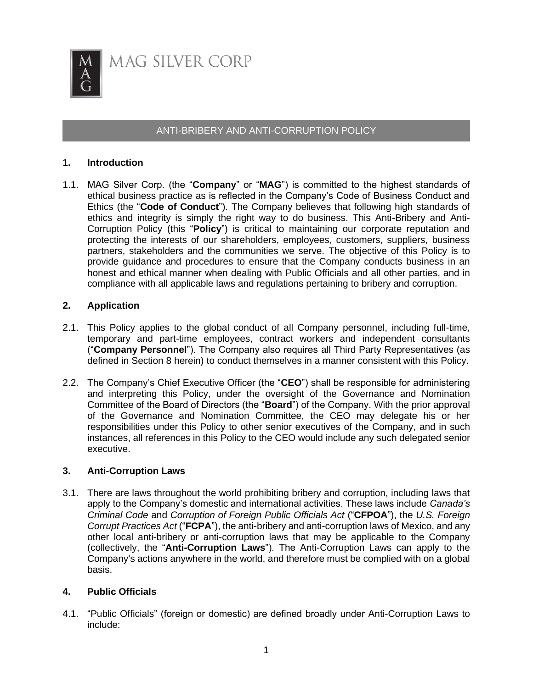

# ANTI-BRIBERY AND ANTI-CORRUPTION POLICY

## **1. Introduction**

1.1. MAG Silver Corp. (the "**Company**" or "**MAG**") is committed to the highest standards of ethical business practice as is reflected in the Company's Code of Business Conduct and Ethics (the "**Code of Conduct**"). The Company believes that following high standards of ethics and integrity is simply the right way to do business. This Anti-Bribery and Anti-Corruption Policy (this "**Policy**") is critical to maintaining our corporate reputation and protecting the interests of our shareholders, employees, customers, suppliers, business partners, stakeholders and the communities we serve. The objective of this Policy is to provide guidance and procedures to ensure that the Company conducts business in an honest and ethical manner when dealing with Public Officials and all other parties, and in compliance with all applicable laws and regulations pertaining to bribery and corruption.

## **2. Application**

- 2.1. This Policy applies to the global conduct of all Company personnel, including full-time, temporary and part-time employees, contract workers and independent consultants ("**Company Personnel**"). The Company also requires all Third Party Representatives (as defined in Section 8 herein) to conduct themselves in a manner consistent with this Policy.
- 2.2. The Company's Chief Executive Officer (the "**CEO**") shall be responsible for administering and interpreting this Policy, under the oversight of the Governance and Nomination Committee of the Board of Directors (the "**Board**") of the Company. With the prior approval of the Governance and Nomination Committee, the CEO may delegate his or her responsibilities under this Policy to other senior executives of the Company, and in such instances, all references in this Policy to the CEO would include any such delegated senior executive.

## **3. Anti-Corruption Laws**

3.1. There are laws throughout the world prohibiting bribery and corruption, including laws that apply to the Company's domestic and international activities. These laws include *Canada's Criminal Code* and *Corruption of Foreign Public Officials Act* ("**CFPOA**"), the *U.S. Foreign Corrupt Practices Act* ("**FCPA**"), the anti-bribery and anti-corruption laws of Mexico, and any other local anti-bribery or anti-corruption laws that may be applicable to the Company (collectively, the "**Anti-Corruption Laws**"). The Anti-Corruption Laws can apply to the Company's actions anywhere in the world, and therefore must be complied with on a global basis.

## **4. Public Officials**

4.1. "Public Officials" (foreign or domestic) are defined broadly under Anti-Corruption Laws to include: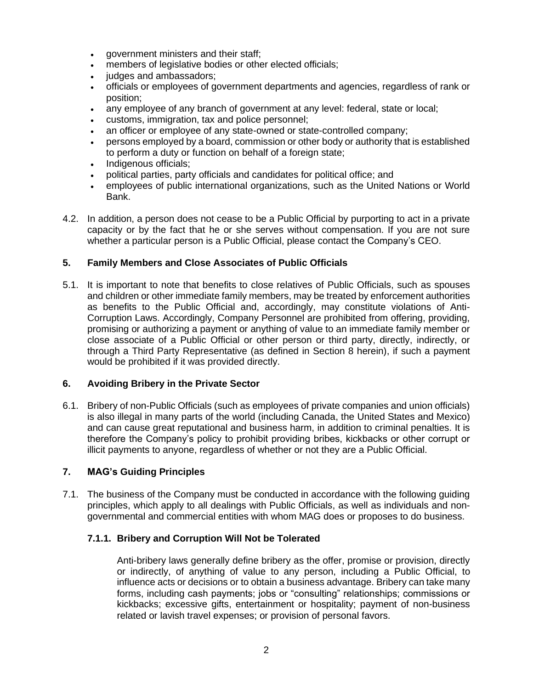- government ministers and their staff;
- members of legislative bodies or other elected officials;
- judges and ambassadors;
- officials or employees of government departments and agencies, regardless of rank or position;
- any employee of any branch of government at any level: federal, state or local;
- customs, immigration, tax and police personnel;
- an officer or employee of any state-owned or state-controlled company;
- persons employed by a board, commission or other body or authority that is established to perform a duty or function on behalf of a foreign state;
- Indigenous officials;
- political parties, party officials and candidates for political office; and
- employees of public international organizations, such as the United Nations or World Bank.
- 4.2. In addition, a person does not cease to be a Public Official by purporting to act in a private capacity or by the fact that he or she serves without compensation. If you are not sure whether a particular person is a Public Official, please contact the Company's CEO.

## **5. Family Members and Close Associates of Public Officials**

5.1. It is important to note that benefits to close relatives of Public Officials, such as spouses and children or other immediate family members, may be treated by enforcement authorities as benefits to the Public Official and, accordingly, may constitute violations of Anti-Corruption Laws. Accordingly, Company Personnel are prohibited from offering, providing, promising or authorizing a payment or anything of value to an immediate family member or close associate of a Public Official or other person or third party, directly, indirectly, or through a Third Party Representative (as defined in Section 8 herein), if such a payment would be prohibited if it was provided directly.

# **6. Avoiding Bribery in the Private Sector**

6.1. Bribery of non-Public Officials (such as employees of private companies and union officials) is also illegal in many parts of the world (including Canada, the United States and Mexico) and can cause great reputational and business harm, in addition to criminal penalties. It is therefore the Company's policy to prohibit providing bribes, kickbacks or other corrupt or illicit payments to anyone, regardless of whether or not they are a Public Official.

# **7. MAG's Guiding Principles**

7.1. The business of the Company must be conducted in accordance with the following guiding principles, which apply to all dealings with Public Officials, as well as individuals and nongovernmental and commercial entities with whom MAG does or proposes to do business.

# **7.1.1. Bribery and Corruption Will Not be Tolerated**

Anti-bribery laws generally define bribery as the offer, promise or provision, directly or indirectly, of anything of value to any person, including a Public Official, to influence acts or decisions or to obtain a business advantage. Bribery can take many forms, including cash payments; jobs or "consulting" relationships; commissions or kickbacks; excessive gifts, entertainment or hospitality; payment of non-business related or lavish travel expenses; or provision of personal favors.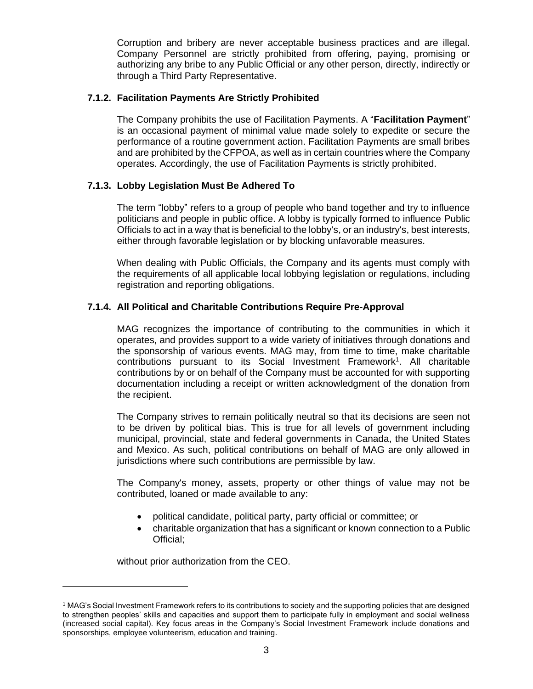Corruption and bribery are never acceptable business practices and are illegal. Company Personnel are strictly prohibited from offering, paying, promising or authorizing any bribe to any Public Official or any other person, directly, indirectly or through a Third Party Representative.

## **7.1.2. Facilitation Payments Are Strictly Prohibited**

The Company prohibits the use of Facilitation Payments. A "**Facilitation Payment**" is an occasional payment of minimal value made solely to expedite or secure the performance of a routine government action. Facilitation Payments are small bribes and are prohibited by the CFPOA, as well as in certain countries where the Company operates. Accordingly, the use of Facilitation Payments is strictly prohibited.

## **7.1.3. Lobby Legislation Must Be Adhered To**

The term "lobby" refers to a group of people who band together and try to influence politicians and people in public office. A lobby is typically formed to influence Public Officials to act in a way that is beneficial to the lobby's, or an industry's, best interests, either through favorable legislation or by blocking unfavorable measures.

When dealing with Public Officials, the Company and its agents must comply with the requirements of all applicable local lobbying legislation or regulations, including registration and reporting obligations.

## **7.1.4. All Political and Charitable Contributions Require Pre-Approval**

MAG recognizes the importance of contributing to the communities in which it operates, and provides support to a wide variety of initiatives through donations and the sponsorship of various events. MAG may, from time to time, make charitable contributions pursuant to its Social Investment Framework<sup>1</sup>. All charitable contributions by or on behalf of the Company must be accounted for with supporting documentation including a receipt or written acknowledgment of the donation from the recipient.

The Company strives to remain politically neutral so that its decisions are seen not to be driven by political bias. This is true for all levels of government including municipal, provincial, state and federal governments in Canada, the United States and Mexico. As such, political contributions on behalf of MAG are only allowed in jurisdictions where such contributions are permissible by law.

The Company's money, assets, property or other things of value may not be contributed, loaned or made available to any:

- political candidate, political party, party official or committee; or
- charitable organization that has a significant or known connection to a Public Official;

without prior authorization from the CEO.

<sup>1</sup> MAG's Social Investment Framework refers to its contributions to society and the supporting policies that are designed to strengthen peoples' skills and capacities and support them to participate fully in employment and social wellness (increased social capital). Key focus areas in the Company's Social Investment Framework include donations and sponsorships, employee volunteerism, education and training.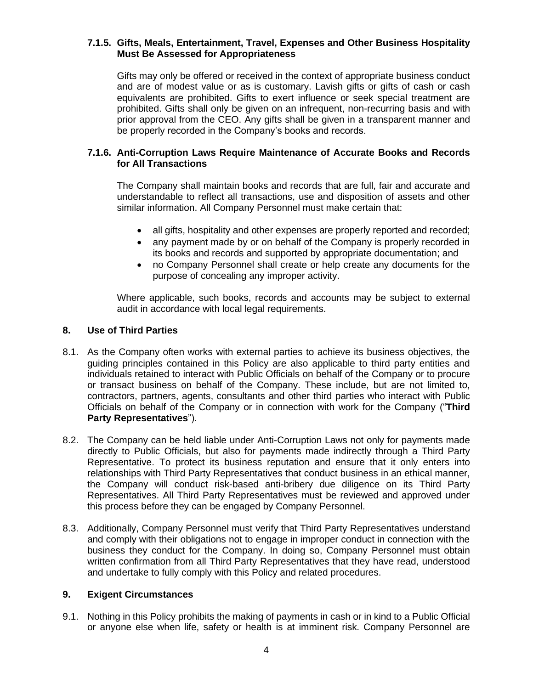#### **7.1.5. Gifts, Meals, Entertainment, Travel, Expenses and Other Business Hospitality Must Be Assessed for Appropriateness**

Gifts may only be offered or received in the context of appropriate business conduct and are of modest value or as is customary. Lavish gifts or gifts of cash or cash equivalents are prohibited. Gifts to exert influence or seek special treatment are prohibited. Gifts shall only be given on an infrequent, non-recurring basis and with prior approval from the CEO. Any gifts shall be given in a transparent manner and be properly recorded in the Company's books and records.

## **7.1.6. Anti-Corruption Laws Require Maintenance of Accurate Books and Records for All Transactions**

The Company shall maintain books and records that are full, fair and accurate and understandable to reflect all transactions, use and disposition of assets and other similar information. All Company Personnel must make certain that:

- all gifts, hospitality and other expenses are properly reported and recorded;
- any payment made by or on behalf of the Company is properly recorded in its books and records and supported by appropriate documentation; and
- no Company Personnel shall create or help create any documents for the purpose of concealing any improper activity.

Where applicable, such books, records and accounts may be subject to external audit in accordance with local legal requirements.

## **8. Use of Third Parties**

- 8.1. As the Company often works with external parties to achieve its business objectives, the guiding principles contained in this Policy are also applicable to third party entities and individuals retained to interact with Public Officials on behalf of the Company or to procure or transact business on behalf of the Company. These include, but are not limited to, contractors, partners, agents, consultants and other third parties who interact with Public Officials on behalf of the Company or in connection with work for the Company ("**Third Party Representatives**").
- 8.2. The Company can be held liable under Anti-Corruption Laws not only for payments made directly to Public Officials, but also for payments made indirectly through a Third Party Representative. To protect its business reputation and ensure that it only enters into relationships with Third Party Representatives that conduct business in an ethical manner, the Company will conduct risk-based anti-bribery due diligence on its Third Party Representatives. All Third Party Representatives must be reviewed and approved under this process before they can be engaged by Company Personnel.
- 8.3. Additionally, Company Personnel must verify that Third Party Representatives understand and comply with their obligations not to engage in improper conduct in connection with the business they conduct for the Company. In doing so, Company Personnel must obtain written confirmation from all Third Party Representatives that they have read, understood and undertake to fully comply with this Policy and related procedures.

#### **9. Exigent Circumstances**

9.1. Nothing in this Policy prohibits the making of payments in cash or in kind to a Public Official or anyone else when life, safety or health is at imminent risk. Company Personnel are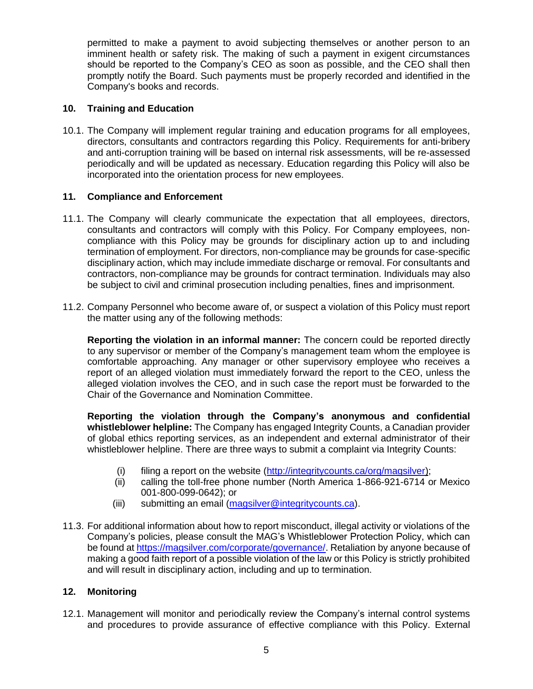permitted to make a payment to avoid subjecting themselves or another person to an imminent health or safety risk. The making of such a payment in exigent circumstances should be reported to the Company's CEO as soon as possible, and the CEO shall then promptly notify the Board. Such payments must be properly recorded and identified in the Company's books and records.

## **10. Training and Education**

10.1. The Company will implement regular training and education programs for all employees, directors, consultants and contractors regarding this Policy. Requirements for anti-bribery and anti-corruption training will be based on internal risk assessments, will be re-assessed periodically and will be updated as necessary. Education regarding this Policy will also be incorporated into the orientation process for new employees.

#### **11. Compliance and Enforcement**

- 11.1. The Company will clearly communicate the expectation that all employees, directors, consultants and contractors will comply with this Policy. For Company employees, noncompliance with this Policy may be grounds for disciplinary action up to and including termination of employment. For directors, non-compliance may be grounds for case-specific disciplinary action, which may include immediate discharge or removal. For consultants and contractors, non-compliance may be grounds for contract termination. Individuals may also be subject to civil and criminal prosecution including penalties, fines and imprisonment.
- 11.2. Company Personnel who become aware of, or suspect a violation of this Policy must report the matter using any of the following methods:

**Reporting the violation in an informal manner:** The concern could be reported directly to any supervisor or member of the Company's management team whom the employee is comfortable approaching. Any manager or other supervisory employee who receives a report of an alleged violation must immediately forward the report to the CEO, unless the alleged violation involves the CEO, and in such case the report must be forwarded to the Chair of the Governance and Nomination Committee.

**Reporting the violation through the Company's anonymous and confidential whistleblower helpline:** The Company has engaged Integrity Counts, a Canadian provider of global ethics reporting services, as an independent and external administrator of their whistleblower helpline. There are three ways to submit a complaint via Integrity Counts:

- (i) filing a report on the website [\(http://integritycounts.ca/org/magsilver\)](http://integritycounts.ca/org/magsilver);
- (ii) calling the toll-free phone number (North America 1-866-921-6714 or Mexico 001-800-099-0642); or
- (iii) submitting an email [\(magsilver@integritycounts.ca\)](mailto:magsilver@integritycounts.ca).
- 11.3. For additional information about how to report misconduct, illegal activity or violations of the Company's policies, please consult the MAG's Whistleblower Protection Policy, which can be found at [https://magsilver.com/corporate/governance/.](https://magsilver.com/corporate/governance/) Retaliation by anyone because of making a good faith report of a possible violation of the law or this Policy is strictly prohibited and will result in disciplinary action, including and up to termination.

#### **12. Monitoring**

12.1. Management will monitor and periodically review the Company's internal control systems and procedures to provide assurance of effective compliance with this Policy. External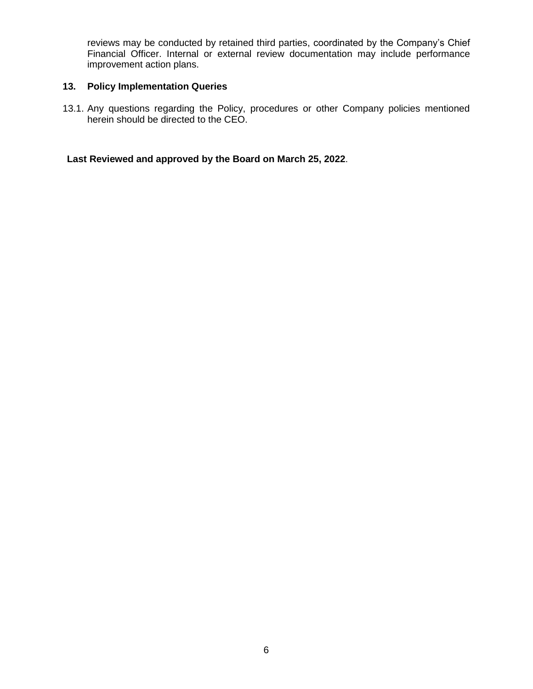reviews may be conducted by retained third parties, coordinated by the Company's Chief Financial Officer. Internal or external review documentation may include performance improvement action plans.

## **13. Policy Implementation Queries**

13.1. Any questions regarding the Policy, procedures or other Company policies mentioned herein should be directed to the CEO.

**Last Reviewed and approved by the Board on March 25, 2022**.